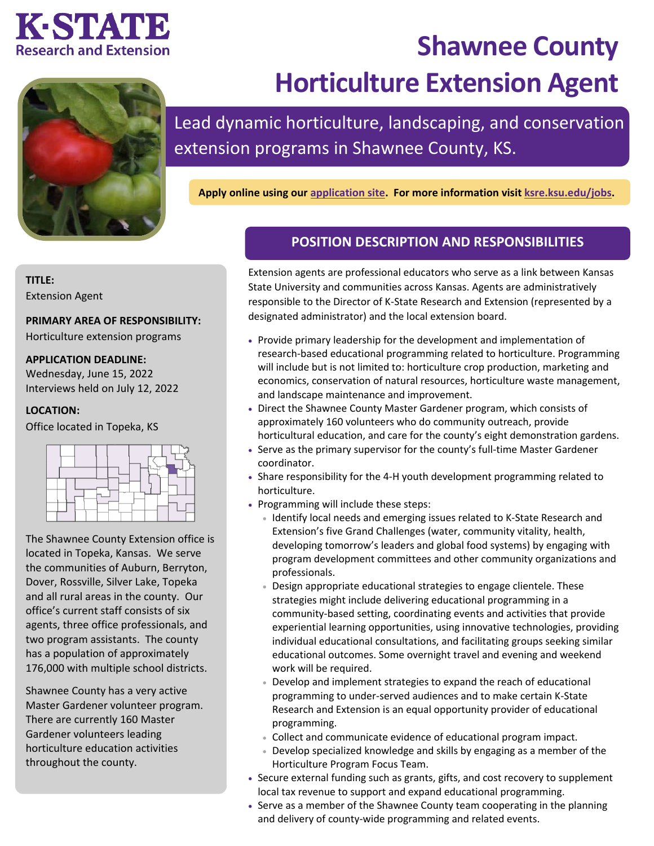## KSTATE **Research and Extension**



# **Shawnee County Horticulture Extension Agent**

Lead dynamic horticulture, landscaping, and conservation extension programs in Shawnee County, KS.

**Apply online using our [application site.](https://careers.k-state.edu/en-us/job/513085/shawnee-county-horticulture-extension-agent) For more information visit [ksre.ksu.edu/jobs.](https://www.ksre.k-state.edu/jobs/current_openings/index.html)**

**TITLE:**

Extension Agent

#### **PRIMARY AREA OF RESPONSIBILITY:**

Horticulture extension programs

#### **APPLICATION DEADLINE:**

Wednesday, June 15, 2022 Interviews held on July 12, 2022

#### **LOCATION:**

Office located in Topeka, KS



The Shawnee County Extension office is located in Topeka, Kansas. We serve the communities of Auburn, Berryton, Dover, Rossville, Silver Lake, Topeka and all rural areas in the county. Our office's current staff consists of six agents, three office professionals, and two program assistants. The county has a population of approximately 176,000 with multiple school districts.

Shawnee County has a very active Master Gardener volunteer program. There are currently 160 Master Gardener volunteers leading horticulture education activities throughout the county.

### **POSITION DESCRIPTION AND RESPONSIBILITIES**

Extension agents are professional educators who serve as a link between Kansas State University and communities across Kansas. Agents are administratively responsible to the Director of K-State Research and Extension (represented by a designated administrator) and the local extension board.

- Provide primary leadership for the development and implementation of research-based educational programming related to horticulture. Programming will include but is not limited to: horticulture crop production, marketing and economics, conservation of natural resources, horticulture waste management, and landscape maintenance and improvement.
- Direct the Shawnee County Master Gardener program, which consists of approximately 160 volunteers who do community outreach, provide horticultural education, and care for the county's eight demonstration gardens.
- Serve as the primary supervisor for the county's full-time Master Gardener coordinator.
- Share responsibility for the 4-H youth development programming related to horticulture.
- Programming will include these steps:
	- Identify local needs and emerging issues related to K-State Research and Extension's five Grand Challenges (water, community vitality, health, developing tomorrow's leaders and global food systems) by engaging with program development committees and other community organizations and professionals.
	- Design appropriate educational strategies to engage clientele. These strategies might include delivering educational programming in a community-based setting, coordinating events and activities that provide experiential learning opportunities, using innovative technologies, providing individual educational consultations, and facilitating groups seeking similar educational outcomes. Some overnight travel and evening and weekend work will be required.
	- Develop and implement strategies to expand the reach of educational programming to under-served audiences and to make certain K-State Research and Extension is an equal opportunity provider of educational programming.
	- Collect and communicate evidence of educational program impact.
	- Develop specialized knowledge and skills by engaging as a member of the Horticulture Program Focus Team.
- Secure external funding such as grants, gifts, and cost recovery to supplement local tax revenue to support and expand educational programming.
- Serve as a member of the Shawnee County team cooperating in the planning and delivery of county-wide programming and related events.